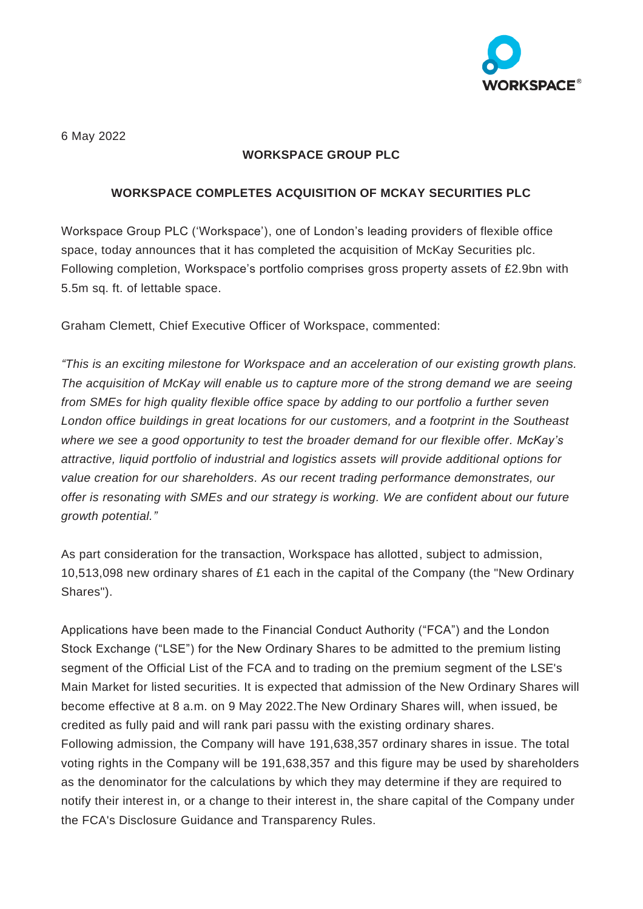

6 May 2022

## **WORKSPACE GROUP PLC**

## **WORKSPACE COMPLETES ACQUISITION OF MCKAY SECURITIES PLC**

Workspace Group PLC ('Workspace'), one of London's leading providers of flexible office space, today announces that it has completed the acquisition of McKay Securities plc. Following completion, Workspace's portfolio comprises gross property assets of £2.9bn with 5.5m sq. ft. of lettable space.

Graham Clemett, Chief Executive Officer of Workspace, commented:

*"This is an exciting milestone for Workspace and an acceleration of our existing growth plans. The acquisition of McKay will enable us to capture more of the strong demand we are seeing from SMEs for high quality flexible office space by adding to our portfolio a further seven London office buildings in great locations for our customers, and a footprint in the Southeast where we see a good opportunity to test the broader demand for our flexible offer. McKay's attractive, liquid portfolio of industrial and logistics assets will provide additional options for value creation for our shareholders. As our recent trading performance demonstrates, our offer is resonating with SMEs and our strategy is working. We are confident about our future growth potential."*

As part consideration for the transaction, Workspace has allotted, subject to admission, 10,513,098 new ordinary shares of £1 each in the capital of the Company (the "New Ordinary Shares").

Applications have been made to the Financial Conduct Authority ("FCA") and the London Stock Exchange ("LSE") for the New Ordinary Shares to be admitted to the premium listing segment of the Official List of the FCA and to trading on the premium segment of the LSE's Main Market for listed securities. It is expected that admission of the New Ordinary Shares will become effective at 8 a.m. on 9 May 2022.The New Ordinary Shares will, when issued, be credited as fully paid and will rank pari passu with the existing ordinary shares. Following admission, the Company will have 191,638,357 ordinary shares in issue. The total voting rights in the Company will be 191,638,357 and this figure may be used by shareholders as the denominator for the calculations by which they may determine if they are required to notify their interest in, or a change to their interest in, the share capital of the Company under the FCA's Disclosure Guidance and Transparency Rules.